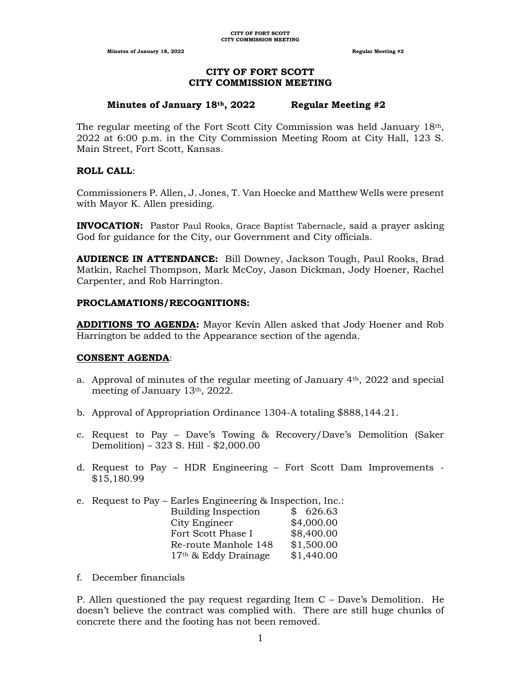**Minutes of January 18, 2022 Regular Meeting #2 Regular Meeting #2** 

# **CITY OF FORT SCOTT CITY COMMISSION MEETING**

#### **Minutes of January 18th, 2022 Regular Meeting #2**

The regular meeting of the Fort Scott City Commission was held January 18th, 2022 at 6:00 p.m. in the City Commission Meeting Room at City Hall, 123 S. Main Street, Fort Scott, Kansas.

## **ROLL CALL**:

Commissioners P. Allen, J. Jones, T. Van Hoecke and Matthew Wells were present with Mayor K. Allen presiding.

**INVOCATION:** Pastor Paul Rooks, Grace Baptist Tabernacle, said a prayer asking God for guidance for the City, our Government and City officials.

**AUDIENCE IN ATTENDANCE:** Bill Downey, Jackson Tough, Paul Rooks, Brad Matkin, Rachel Thompson, Mark McCoy, Jason Dickman, Jody Hoener, Rachel Carpenter, and Rob Harrington.

## **PROCLAMATIONS/RECOGNITIONS:**

**ADDITIONS TO AGENDA:** Mayor Kevin Allen asked that Jody Hoener and Rob Harrington be added to the Appearance section of the agenda.

## **CONSENT AGENDA**:

- a. Approval of minutes of the regular meeting of January  $4<sup>th</sup>$ , 2022 and special meeting of January 13th, 2022.
- b. Approval of Appropriation Ordinance 1304-A totaling \$888,144.21.
- c. Request to Pay Dave's Towing & Recovery/Dave's Demolition (Saker Demolition) – 323 S. Hill - \$2,000.00
- d. Request to Pay HDR Engineering Fort Scott Dam Improvements \$15,180.99
- e. Request to Pay Earles Engineering & Inspection, Inc.:  $**i**$  $\overline{d}$  $**in**$  $\overline{d}$

| Building inspection  | D 020.03   |
|----------------------|------------|
| City Engineer        | \$4,000.00 |
| Fort Scott Phase I   | \$8,400.00 |
| Re-route Manhole 148 | \$1,500.00 |
| 17th & Eddy Drainage | \$1,440.00 |

f. December financials

P. Allen questioned the pay request regarding Item C – Dave's Demolition. He doesn't believe the contract was complied with. There are still huge chunks of concrete there and the footing has not been removed.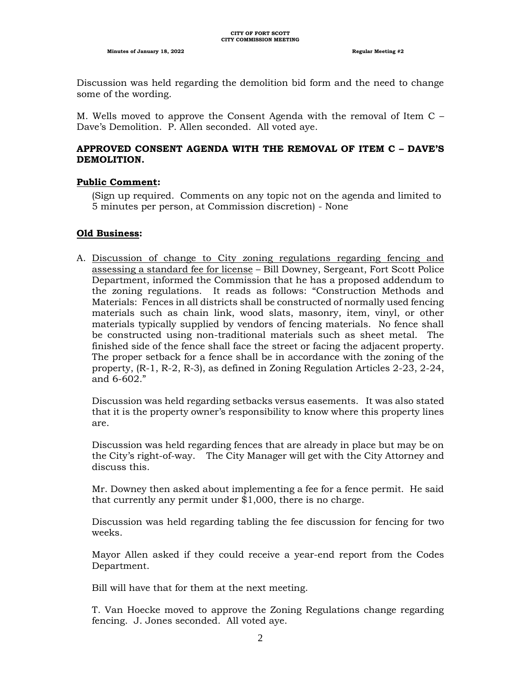Discussion was held regarding the demolition bid form and the need to change some of the wording.

M. Wells moved to approve the Consent Agenda with the removal of Item C – Dave's Demolition. P. Allen seconded. All voted aye.

# **APPROVED CONSENT AGENDA WITH THE REMOVAL OF ITEM C – DAVE'S DEMOLITION.**

## **Public Comment:**

(Sign up required. Comments on any topic not on the agenda and limited to 5 minutes per person, at Commission discretion) - None

# **Old Business:**

A. Discussion of change to City zoning regulations regarding fencing and assessing a standard fee for license – Bill Downey, Sergeant, Fort Scott Police Department, informed the Commission that he has a proposed addendum to the zoning regulations. It reads as follows: "Construction Methods and Materials: Fences in all districts shall be constructed of normally used fencing materials such as chain link, wood slats, masonry, item, vinyl, or other materials typically supplied by vendors of fencing materials. No fence shall be constructed using non-traditional materials such as sheet metal. The finished side of the fence shall face the street or facing the adjacent property. The proper setback for a fence shall be in accordance with the zoning of the property, (R-1, R-2, R-3), as defined in Zoning Regulation Articles 2-23, 2-24, and 6-602."

Discussion was held regarding setbacks versus easements. It was also stated that it is the property owner's responsibility to know where this property lines are.

Discussion was held regarding fences that are already in place but may be on the City's right-of-way. The City Manager will get with the City Attorney and discuss this.

Mr. Downey then asked about implementing a fee for a fence permit. He said that currently any permit under \$1,000, there is no charge.

Discussion was held regarding tabling the fee discussion for fencing for two weeks.

Mayor Allen asked if they could receive a year-end report from the Codes Department.

Bill will have that for them at the next meeting.

T. Van Hoecke moved to approve the Zoning Regulations change regarding fencing. J. Jones seconded. All voted aye.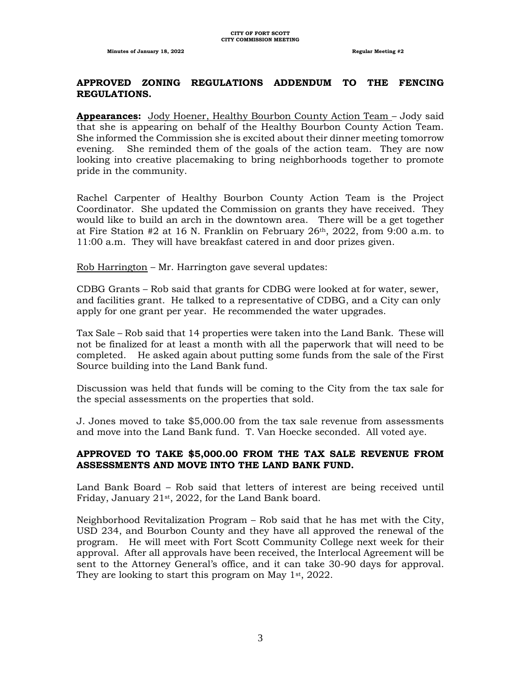#### **APPROVED ZONING REGULATIONS ADDENDUM TO THE FENCING REGULATIONS.**

**Appearances:** Jody Hoener, Healthy Bourbon County Action Team – Jody said that she is appearing on behalf of the Healthy Bourbon County Action Team. She informed the Commission she is excited about their dinner meeting tomorrow evening. She reminded them of the goals of the action team. They are now looking into creative placemaking to bring neighborhoods together to promote pride in the community.

Rachel Carpenter of Healthy Bourbon County Action Team is the Project Coordinator. She updated the Commission on grants they have received. They would like to build an arch in the downtown area. There will be a get together at Fire Station #2 at 16 N. Franklin on February 26th, 2022, from 9:00 a.m. to 11:00 a.m. They will have breakfast catered in and door prizes given.

Rob Harrington – Mr. Harrington gave several updates:

CDBG Grants – Rob said that grants for CDBG were looked at for water, sewer, and facilities grant. He talked to a representative of CDBG, and a City can only apply for one grant per year. He recommended the water upgrades.

Tax Sale – Rob said that 14 properties were taken into the Land Bank. These will not be finalized for at least a month with all the paperwork that will need to be completed. He asked again about putting some funds from the sale of the First Source building into the Land Bank fund.

Discussion was held that funds will be coming to the City from the tax sale for the special assessments on the properties that sold.

J. Jones moved to take \$5,000.00 from the tax sale revenue from assessments and move into the Land Bank fund. T. Van Hoecke seconded. All voted aye.

## **APPROVED TO TAKE \$5,000.00 FROM THE TAX SALE REVENUE FROM ASSESSMENTS AND MOVE INTO THE LAND BANK FUND.**

Land Bank Board – Rob said that letters of interest are being received until Friday, January  $21st$ , 2022, for the Land Bank board.

Neighborhood Revitalization Program – Rob said that he has met with the City, USD 234, and Bourbon County and they have all approved the renewal of the program. He will meet with Fort Scott Community College next week for their approval. After all approvals have been received, the Interlocal Agreement will be sent to the Attorney General's office, and it can take 30-90 days for approval. They are looking to start this program on May  $1<sup>st</sup>$ , 2022.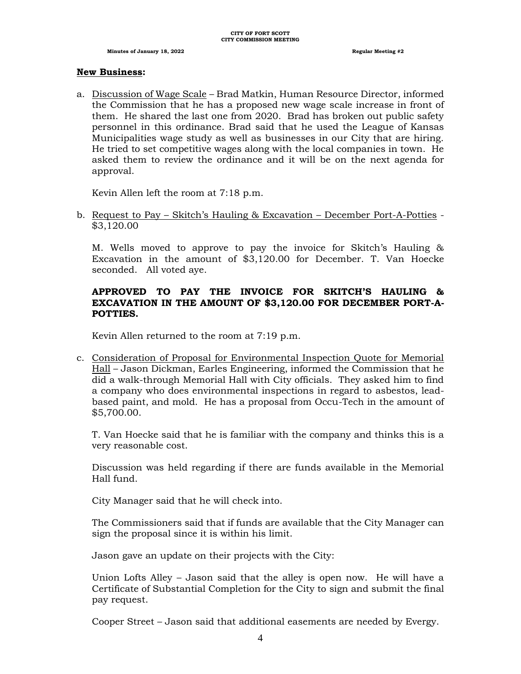#### **New Business:**

a. Discussion of Wage Scale – Brad Matkin, Human Resource Director, informed the Commission that he has a proposed new wage scale increase in front of them. He shared the last one from 2020. Brad has broken out public safety personnel in this ordinance. Brad said that he used the League of Kansas Municipalities wage study as well as businesses in our City that are hiring. He tried to set competitive wages along with the local companies in town. He asked them to review the ordinance and it will be on the next agenda for approval.

Kevin Allen left the room at 7:18 p.m.

b. Request to Pay – Skitch's Hauling & Excavation – December Port-A-Potties - \$3,120.00

M. Wells moved to approve to pay the invoice for Skitch's Hauling & Excavation in the amount of \$3,120.00 for December. T. Van Hoecke seconded. All voted aye.

# **APPROVED TO PAY THE INVOICE FOR SKITCH'S HAULING & EXCAVATION IN THE AMOUNT OF \$3,120.00 FOR DECEMBER PORT-A-POTTIES.**

Kevin Allen returned to the room at 7:19 p.m.

c. Consideration of Proposal for Environmental Inspection Quote for Memorial Hall – Jason Dickman, Earles Engineering, informed the Commission that he did a walk-through Memorial Hall with City officials. They asked him to find a company who does environmental inspections in regard to asbestos, leadbased paint, and mold. He has a proposal from Occu-Tech in the amount of \$5,700.00.

T. Van Hoecke said that he is familiar with the company and thinks this is a very reasonable cost.

Discussion was held regarding if there are funds available in the Memorial Hall fund.

City Manager said that he will check into.

The Commissioners said that if funds are available that the City Manager can sign the proposal since it is within his limit.

Jason gave an update on their projects with the City:

Union Lofts Alley – Jason said that the alley is open now. He will have a Certificate of Substantial Completion for the City to sign and submit the final pay request.

Cooper Street – Jason said that additional easements are needed by Evergy.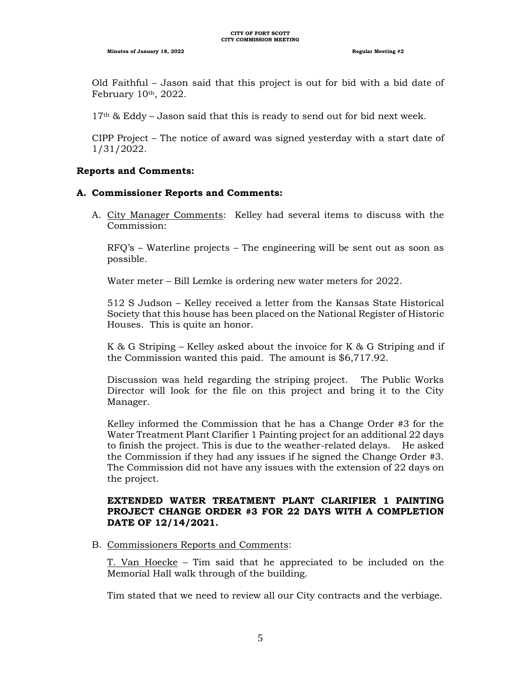Old Faithful – Jason said that this project is out for bid with a bid date of February 10th, 2022.

 $17<sup>th</sup>$  & Eddy – Jason said that this is ready to send out for bid next week.

CIPP Project – The notice of award was signed yesterday with a start date of 1/31/2022.

#### **Reports and Comments:**

#### **A. Commissioner Reports and Comments:**

A. City Manager Comments: Kelley had several items to discuss with the Commission:

RFQ's – Waterline projects – The engineering will be sent out as soon as possible.

Water meter – Bill Lemke is ordering new water meters for 2022.

512 S Judson – Kelley received a letter from the Kansas State Historical Society that this house has been placed on the National Register of Historic Houses. This is quite an honor.

K & G Striping – Kelley asked about the invoice for K & G Striping and if the Commission wanted this paid. The amount is \$6,717.92.

Discussion was held regarding the striping project. The Public Works Director will look for the file on this project and bring it to the City Manager.

Kelley informed the Commission that he has a Change Order #3 for the Water Treatment Plant Clarifier 1 Painting project for an additional 22 days to finish the project. This is due to the weather-related delays. He asked the Commission if they had any issues if he signed the Change Order #3. The Commission did not have any issues with the extension of 22 days on the project.

# **EXTENDED WATER TREATMENT PLANT CLARIFIER 1 PAINTING PROJECT CHANGE ORDER #3 FOR 22 DAYS WITH A COMPLETION DATE OF 12/14/2021.**

B. Commissioners Reports and Comments:

T. Van Hoecke – Tim said that he appreciated to be included on the Memorial Hall walk through of the building.

Tim stated that we need to review all our City contracts and the verbiage.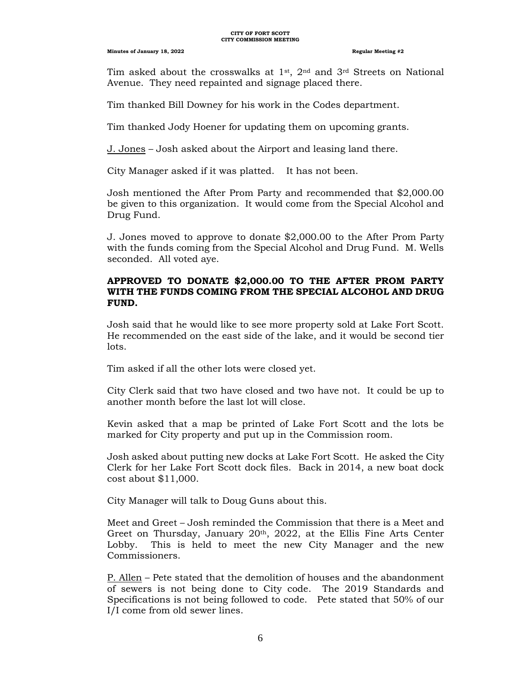Tim asked about the crosswalks at  $1^{st}$ ,  $2^{nd}$  and  $3^{rd}$  Streets on National Avenue. They need repainted and signage placed there.

Tim thanked Bill Downey for his work in the Codes department.

Tim thanked Jody Hoener for updating them on upcoming grants.

J. Jones – Josh asked about the Airport and leasing land there.

City Manager asked if it was platted. It has not been.

Josh mentioned the After Prom Party and recommended that \$2,000.00 be given to this organization. It would come from the Special Alcohol and Drug Fund.

J. Jones moved to approve to donate \$2,000.00 to the After Prom Party with the funds coming from the Special Alcohol and Drug Fund. M. Wells seconded. All voted aye.

## **APPROVED TO DONATE \$2,000.00 TO THE AFTER PROM PARTY WITH THE FUNDS COMING FROM THE SPECIAL ALCOHOL AND DRUG FUND.**

Josh said that he would like to see more property sold at Lake Fort Scott. He recommended on the east side of the lake, and it would be second tier lots.

Tim asked if all the other lots were closed yet.

City Clerk said that two have closed and two have not. It could be up to another month before the last lot will close.

Kevin asked that a map be printed of Lake Fort Scott and the lots be marked for City property and put up in the Commission room.

Josh asked about putting new docks at Lake Fort Scott. He asked the City Clerk for her Lake Fort Scott dock files. Back in 2014, a new boat dock cost about \$11,000.

City Manager will talk to Doug Guns about this.

Meet and Greet – Josh reminded the Commission that there is a Meet and Greet on Thursday, January 20<sup>th</sup>, 2022, at the Ellis Fine Arts Center Lobby. This is held to meet the new City Manager and the new Commissioners.

P. Allen – Pete stated that the demolition of houses and the abandonment of sewers is not being done to City code. The 2019 Standards and Specifications is not being followed to code. Pete stated that 50% of our I/I come from old sewer lines.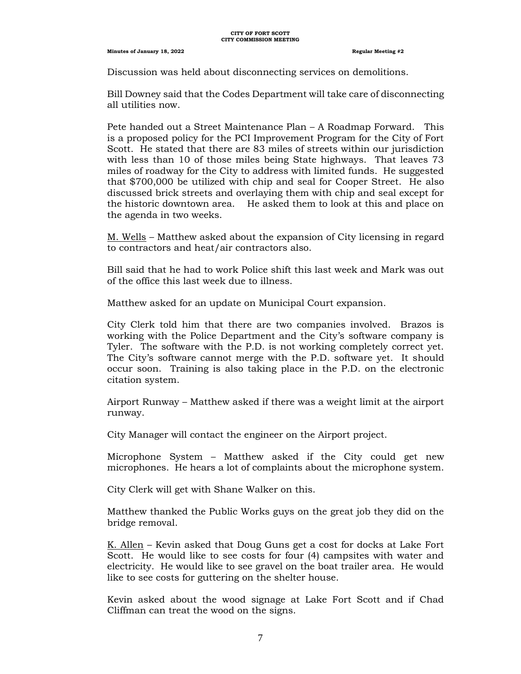Discussion was held about disconnecting services on demolitions.

Bill Downey said that the Codes Department will take care of disconnecting all utilities now.

Pete handed out a Street Maintenance Plan – A Roadmap Forward. This is a proposed policy for the PCI Improvement Program for the City of Fort Scott. He stated that there are 83 miles of streets within our jurisdiction with less than 10 of those miles being State highways. That leaves 73 miles of roadway for the City to address with limited funds. He suggested that \$700,000 be utilized with chip and seal for Cooper Street. He also discussed brick streets and overlaying them with chip and seal except for the historic downtown area. He asked them to look at this and place on the agenda in two weeks.

M. Wells – Matthew asked about the expansion of City licensing in regard to contractors and heat/air contractors also.

Bill said that he had to work Police shift this last week and Mark was out of the office this last week due to illness.

Matthew asked for an update on Municipal Court expansion.

City Clerk told him that there are two companies involved. Brazos is working with the Police Department and the City's software company is Tyler. The software with the P.D. is not working completely correct yet. The City's software cannot merge with the P.D. software yet. It should occur soon. Training is also taking place in the P.D. on the electronic citation system.

Airport Runway – Matthew asked if there was a weight limit at the airport runway.

City Manager will contact the engineer on the Airport project.

Microphone System – Matthew asked if the City could get new microphones. He hears a lot of complaints about the microphone system.

City Clerk will get with Shane Walker on this.

Matthew thanked the Public Works guys on the great job they did on the bridge removal.

K. Allen – Kevin asked that Doug Guns get a cost for docks at Lake Fort Scott. He would like to see costs for four (4) campsites with water and electricity. He would like to see gravel on the boat trailer area. He would like to see costs for guttering on the shelter house.

Kevin asked about the wood signage at Lake Fort Scott and if Chad Cliffman can treat the wood on the signs.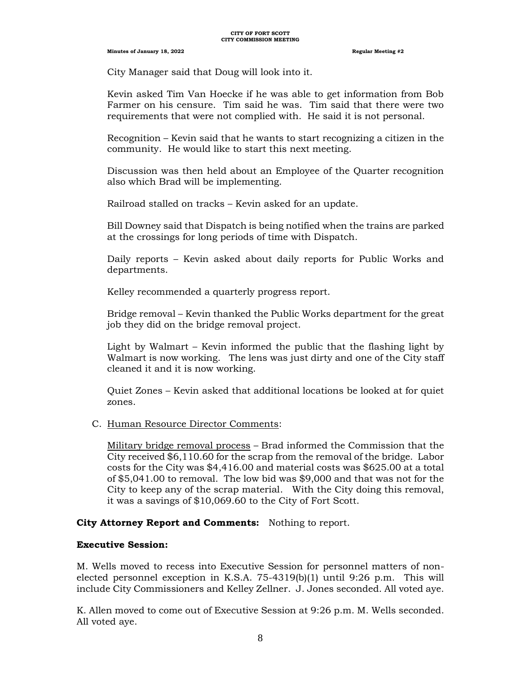City Manager said that Doug will look into it.

Kevin asked Tim Van Hoecke if he was able to get information from Bob Farmer on his censure. Tim said he was. Tim said that there were two requirements that were not complied with. He said it is not personal.

Recognition – Kevin said that he wants to start recognizing a citizen in the community. He would like to start this next meeting.

Discussion was then held about an Employee of the Quarter recognition also which Brad will be implementing.

Railroad stalled on tracks – Kevin asked for an update.

Bill Downey said that Dispatch is being notified when the trains are parked at the crossings for long periods of time with Dispatch.

Daily reports – Kevin asked about daily reports for Public Works and departments.

Kelley recommended a quarterly progress report.

Bridge removal – Kevin thanked the Public Works department for the great job they did on the bridge removal project.

Light by Walmart – Kevin informed the public that the flashing light by Walmart is now working. The lens was just dirty and one of the City staff cleaned it and it is now working.

Quiet Zones – Kevin asked that additional locations be looked at for quiet zones.

C. Human Resource Director Comments:

Military bridge removal process – Brad informed the Commission that the City received \$6,110.60 for the scrap from the removal of the bridge. Labor costs for the City was \$4,416.00 and material costs was \$625.00 at a total of \$5,041.00 to removal. The low bid was \$9,000 and that was not for the City to keep any of the scrap material. With the City doing this removal, it was a savings of \$10,069.60 to the City of Fort Scott.

## **City Attorney Report and Comments:** Nothing to report.

#### **Executive Session:**

M. Wells moved to recess into Executive Session for personnel matters of nonelected personnel exception in K.S.A.  $75-4319(b)(1)$  until 9:26 p.m. This will include City Commissioners and Kelley Zellner. J. Jones seconded. All voted aye.

K. Allen moved to come out of Executive Session at 9:26 p.m. M. Wells seconded. All voted aye.